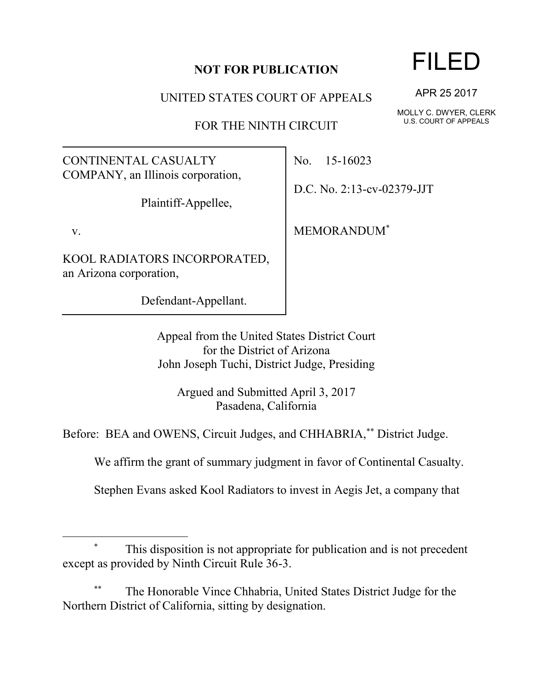## **NOT FOR PUBLICATION**

UNITED STATES COURT OF APPEALS

FOR THE NINTH CIRCUIT

CONTINENTAL CASUALTY COMPANY, an Illinois corporation,

Plaintiff-Appellee,

v.

l

KOOL RADIATORS INCORPORATED, an Arizona corporation,

Defendant-Appellant.

No. 15-16023

D.C. No. 2:13-cv-02379-JJT

MEMORANDUM\*

Appeal from the United States District Court for the District of Arizona John Joseph Tuchi, District Judge, Presiding

Argued and Submitted April 3, 2017 Pasadena, California

Before: BEA and OWENS, Circuit Judges, and CHHABRIA,\*\* District Judge.

We affirm the grant of summary judgment in favor of Continental Casualty.

Stephen Evans asked Kool Radiators to invest in Aegis Jet, a company that

## This disposition is not appropriate for publication and is not precedent except as provided by Ninth Circuit Rule 36-3.

The Honorable Vince Chhabria, United States District Judge for the Northern District of California, sitting by designation.

## FILED

APR 25 2017

MOLLY C. DWYER, CLERK U.S. COURT OF APPEALS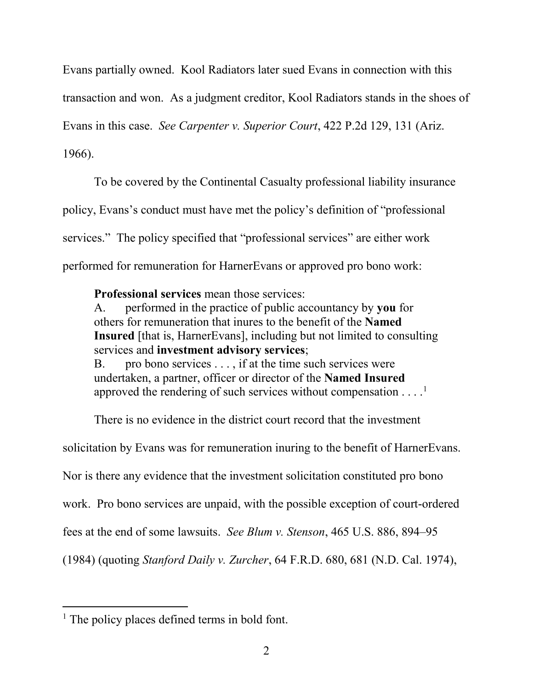Evans partially owned. Kool Radiators later sued Evans in connection with this

transaction and won. As a judgment creditor, Kool Radiators stands in the shoes of

Evans in this case. *See Carpenter v. Superior Court*, 422 P.2d 129, 131 (Ariz.

1966).

 $\overline{a}$ 

To be covered by the Continental Casualty professional liability insurance policy, Evans's conduct must have met the policy's definition of "professional services." The policy specified that "professional services" are either work performed for remuneration for HarnerEvans or approved pro bono work:

**Professional services** mean those services:

A. performed in the practice of public accountancy by **you** for others for remuneration that inures to the benefit of the **Named Insured** [that is, HarnerEvans], including but not limited to consulting services and **investment advisory services**;

B. pro bono services . . . , if at the time such services were undertaken, a partner, officer or director of the **Named Insured** approved the rendering of such services without compensation  $\dots$ <sup>1</sup>

There is no evidence in the district court record that the investment

solicitation by Evans was for remuneration inuring to the benefit of HarnerEvans.

Nor is there any evidence that the investment solicitation constituted pro bono

work. Pro bono services are unpaid, with the possible exception of court-ordered

fees at the end of some lawsuits. *See Blum v. Stenson*, 465 U.S. 886, 894–95

(1984) (quoting *Stanford Daily v. Zurcher*, 64 F.R.D. 680, 681 (N.D. Cal. 1974),

<sup>&</sup>lt;sup>1</sup> The policy places defined terms in bold font.